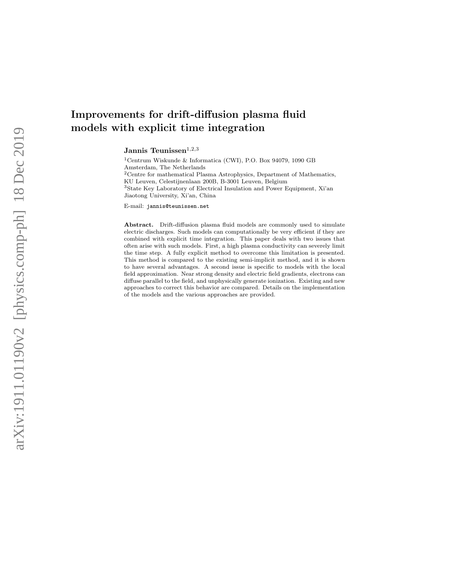# Improvements for drift-diffusion plasma fluid models with explicit time integration

Jannis Teunissen $^{1,2,3}$ 

<sup>1</sup>Centrum Wiskunde & Informatica (CWI), P.O. Box 94079, 1090 GB Amsterdam, The Netherlands <sup>2</sup>Centre for mathematical Plasma Astrophysics, Department of Mathematics, KU Leuven, Celestijnenlaan 200B, B-3001 Leuven, Belgium <sup>3</sup>State Key Laboratory of Electrical Insulation and Power Equipment, Xi'an Jiaotong University, Xi'an, China

E-mail: jannis@teunissen.net

Abstract. Drift-diffusion plasma fluid models are commonly used to simulate electric discharges. Such models can computationally be very efficient if they are combined with explicit time integration. This paper deals with two issues that often arise with such models. First, a high plasma conductivity can severely limit the time step. A fully explicit method to overcome this limitation is presented. This method is compared to the existing semi-implicit method, and it is shown to have several advantages. A second issue is specific to models with the local field approximation. Near strong density and electric field gradients, electrons can diffuse parallel to the field, and unphysically generate ionization. Existing and new approaches to correct this behavior are compared. Details on the implementation of the models and the various approaches are provided.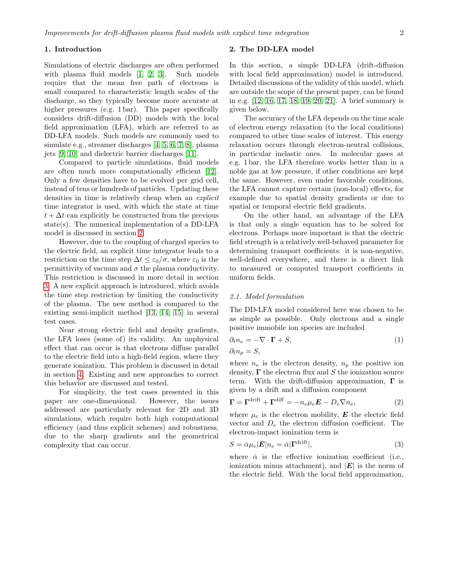#### 1. Introduction

Simulations of electric discharges are often performed with plasma fluid models [\[1,](#page-9-0) [2,](#page-9-1) [3\]](#page-9-2). Such models require that the mean free path of electrons is small compared to characteristic length scales of the discharge, so they typically become more accurate at higher pressures (e.g. 1 bar). This paper specifically considers drift-diffusion (DD) models with the local field approximation (LFA), which are referred to as DD-LFA models. Such models are commonly used to simulate e.g., streamer discharges [\[4,](#page-9-3) [5,](#page-9-4) [6,](#page-9-5) [7,](#page-10-0) [8\]](#page-10-1), plasma jets [\[9,](#page-10-2) [10\]](#page-10-3) and dielectric barrier discharges [\[11\]](#page-10-4).

Compared to particle simulations, fluid models are often much more computationally efficient [\[12\]](#page-10-5). Only a few densities have to be evolved per grid cell, instead of tens or hundreds of particles. Updating these densities in time is relatively cheap when an *explicit* time integrator is used, with which the state at time  $t + \Delta t$  can explicitly be constructed from the previous state(s). The numerical implementation of a DD-LFA model is discussed in section [2.](#page-1-0)

However, due to the coupling of charged species to the electric field, an explicit time integrator leads to a restriction on the time step  $\Delta t \leq \varepsilon_0/\sigma$ , where  $\varepsilon_0$  is the permittivity of vacuum and  $\sigma$  the plasma conductivity. This restriction is discussed in more detail in section [3.](#page-3-0) A new explicit approach is introduced, which avoids the time step restriction by limiting the conductivity of the plasma. The new method is compared to the existing semi-implicit method [\[13,](#page-10-6) [14,](#page-10-7) [15\]](#page-10-8) in several test cases.

Near strong electric field and density gradients, the LFA loses (some of) its validity. An unphysical effect that can occur is that electrons diffuse parallel to the electric field into a high-field region, where they generate ionization. This problem is discussed in detail in section [4.](#page-6-0) Existing and new approaches to correct this behavior are discussed and tested.

For simplicity, the test cases presented in this paper are one-dimensional. However, the issues addressed are particularly relevant for 2D and 3D simulations, which require both high computational efficiency (and thus explicit schemes) and robustness, due to the sharp gradients and the geometrical complexity that can occur.

### <span id="page-1-0"></span>2. The DD-LFA model

In this section, a simple DD-LFA (drift-diffusion with local field approximation) model is introduced. Detailed discussions of the validity of this model, which are outside the scope of the present paper, can be found in e.g. [\[12,](#page-10-5) [16,](#page-10-9) [17,](#page-10-10) [18,](#page-10-11) [19,](#page-10-12) [20,](#page-10-13) [21\]](#page-10-14). A brief summary is given below.

The accuracy of the LFA depends on the time scale of electron energy relaxation (to the local conditions) compared to other time scales of interest. This energy relaxation occurs through electron-neutral collisions, in particular inelastic ones. In molecular gases at e.g. 1 bar, the LFA therefore works better than in a noble gas at low pressure, if other conditions are kept the same. However, even under favorable conditions, the LFA cannot capture certain (non-local) effects, for example due to spatial density gradients or due to spatial or temporal electric field gradients.

On the other hand, an advantage of the LFA is that only a single equation has to be solved for electrons. Perhaps more important is that the electric field strength is a relatively well-behaved parameter for determining transport coefficients: it is non-negative, well-defined everywhere, and there is a direct link to measured or computed transport coefficients in uniform fields.

# 2.1. Model formulation

The DD-LFA model considered here was chosen to be as simple as possible. Only electrons and a single positive immobile ion species are included

<span id="page-1-2"></span>
$$
\partial_t n_e = -\nabla \cdot \mathbf{\Gamma} + S,
$$
  
\n
$$
\partial_t n_p = S,
$$
\n(1)

where  $n_e$  is the electron density,  $n_p$  the positive ion density,  $\Gamma$  the electron flux and S the ionization source term. With the drift-diffusion approximation,  $\Gamma$  is given by a drift and a diffusion component

<span id="page-1-3"></span>
$$
\mathbf{\Gamma} = \mathbf{\Gamma}^{\text{drift}} + \mathbf{\Gamma}^{\text{diff}} = -n_e \mu_e \mathbf{E} - D_e \nabla n_e, \tag{2}
$$

where  $\mu_e$  is the electron mobility,  $\boldsymbol{E}$  the electric field vector and  $D_e$  the electron diffusion coefficient. The electron-impact ionization term is

<span id="page-1-1"></span>
$$
S = \bar{\alpha}\mu_e|\mathbf{E}|n_e = \bar{\alpha}|\mathbf{\Gamma}^{\text{drift}}|,\tag{3}
$$

where  $\bar{\alpha}$  is the effective ionization coefficient (i.e., ionization minus attachment), and  $|E|$  is the norm of the electric field. With the local field approximation,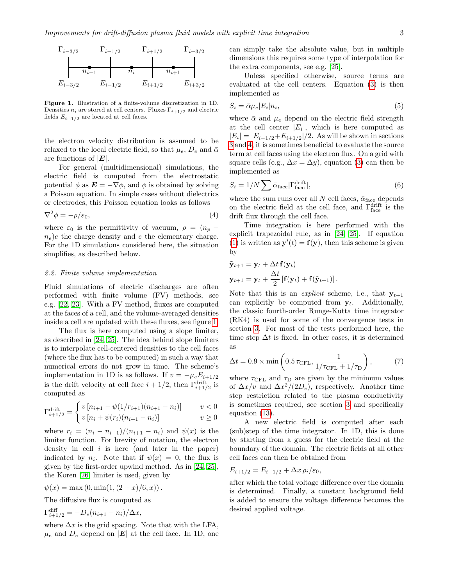

<span id="page-2-0"></span>Figure 1. Illustration of a finite-volume discretization in 1D. Densities  $n_i$  are stored at cell centers. Fluxes  $\Gamma_{i+1/2}$  and electric fields  $E_{i+1/2}$  are located at cell faces.

the electron velocity distribution is assumed to be relaxed to the local electric field, so that  $\mu_e$ ,  $D_e$  and  $\bar{\alpha}$ are functions of  $|E|$ .

For general (multidimensional) simulations, the electric field is computed from the electrostatic potential  $\phi$  as  $\mathbf{E} = -\nabla \phi$ , and  $\phi$  is obtained by solving a Poisson equation. In simple cases without dielectrics or electrodes, this Poisson equation looks as follows

<span id="page-2-1"></span>
$$
\nabla^2 \phi = -\rho/\varepsilon_0,\tag{4}
$$

where  $\varepsilon_0$  is the permittivity of vacuum,  $\rho = (n_p$  $n_e$ )e the charge density and e the elementary charge. For the 1D simulations considered here, the situation simplifies, as described below.

### 2.2. Finite volume implementation

Fluid simulations of electric discharges are often performed with finite volume (FV) methods, see e.g. [\[22,](#page-10-15) [23\]](#page-10-16). With a FV method, fluxes are computed at the faces of a cell, and the volume-averaged densities inside a cell are updated with these fluxes, see figure [1.](#page-2-0)

The flux is here computed using a slope limiter, as described in [\[24,](#page-10-17) [25\]](#page-10-18). The idea behind slope limiters is to interpolate cell-centered densities to the cell faces (where the flux has to be computed) in such a way that numerical errors do not grow in time. The scheme's implementation in 1D is as follows. If  $v = -\mu_e E_{i+1/2}$ is the drift velocity at cell face  $i + 1/2$ , then  $\Gamma_{i+1/2}^{\text{drift}}$  is computed as

$$
\Gamma_{i+1/2}^{\text{drift}} = \begin{cases} v [n_{i+1} - \psi(1/r_{i+1})(n_{i+1} - n_i)] & v < 0 \\ v [n_i + \psi(r_i)(n_{i+1} - n_i)] & v \ge 0 \end{cases}
$$

where  $r_i = (n_i - n_{i-1})/(n_{i+1} - n_i)$  and  $\psi(x)$  is the limiter function. For brevity of notation, the electron density in cell  $i$  is here (and later in the paper) indicated by  $n_i$ . Note that if  $\psi(x) = 0$ , the flux is given by the first-order upwind method. As in [\[24,](#page-10-17) [25\]](#page-10-18), the Koren [\[26\]](#page-10-19) limiter is used, given by

$$
\psi(x) = \max(0, \min(1, (2+x)/6, x)).
$$

The diffusive flux is computed as

$$
\Gamma_{i+1/2}^{\text{diff}} = -D_e(n_{i+1} - n_i)/\Delta x,
$$

 $\ddot{\phantom{a}}$ 

where  $\Delta x$  is the grid spacing. Note that with the LFA,  $\mu_e$  and  $D_e$  depend on  $|\mathbf{E}|$  at the cell face. In 1D, one can simply take the absolute value, but in multiple dimensions this requires some type of interpolation for the extra components, see e.g. [\[25\]](#page-10-18).

Unless specified otherwise, source terms are evaluated at the cell centers. Equation [\(3\)](#page-1-1) is then implemented as

<span id="page-2-4"></span>
$$
S_i = \bar{\alpha}\mu_e |E_i| n_i,\tag{5}
$$

where  $\bar{\alpha}$  and  $\mu_e$  depend on the electric field strength at the cell center  $|E_i|$ , which is here computed as  $|E_i| = |E_{i-1/2}+E_{i+1/2}|/2$ . As will be shown in sections [3](#page-3-0) and [4,](#page-6-0) it is sometimes beneficial to evaluate the source term at cell faces using the electron flux. On a grid with square cells (e.g.,  $\Delta x = \Delta y$ ), equation [\(3\)](#page-1-1) can then be implemented as

<span id="page-2-3"></span>
$$
S_i = 1/N \sum \bar{\alpha}_{\text{face}} |\Gamma^{\text{drift}}_{\text{face}}|,\tag{6}
$$

where the sum runs over all N cell faces,  $\bar{\alpha}_{\text{face}}$  depends on the electric field at the cell face, and  $\Gamma_{\text{face}}^{\text{drift}}$  is the drift flux through the cell face.

Time integration is here performed with the explicit trapezoidal rule, as in [\[24,](#page-10-17) [25\]](#page-10-18). If equation [\(1\)](#page-1-2) is written as  $\mathbf{y}'(t) = \mathbf{f}(\mathbf{y})$ , then this scheme is given by

$$
\tilde{\mathbf{y}}_{t+1} = \mathbf{y}_t + \Delta t \, \mathbf{f}(\mathbf{y}_t)
$$
\n
$$
\mathbf{y}_{t+1} = \mathbf{y}_t + \frac{\Delta t}{2} \left[ \mathbf{f}(\mathbf{y}_t) + \mathbf{f}(\tilde{\mathbf{y}}_{t+1}) \right].
$$

Note that this is an *explicit* scheme, i.e., that  $y_{t+1}$ can explicitly be computed from  $y_t$ . Additionally, the classic fourth-order Runge-Kutta time integrator (RK4) is used for some of the convergence tests in section [3.](#page-3-0) For most of the tests performed here, the time step  $\Delta t$  is fixed. In other cases, it is determined as

<span id="page-2-2"></span>
$$
\Delta t = 0.9 \times \min\left(0.5 \tau_{\text{CFL}}, \frac{1}{1/\tau_{\text{CFL}} + 1/\tau_{\text{D}}}\right),\tag{7}
$$

where  $\tau_{\text{CFL}}$  and  $\tau_{\text{D}}$  are given by the minimum values of  $\Delta x/v$  and  $\Delta x^2/(2D_e)$ , respectively. Another time step restriction related to the plasma conductivity is sometimes required, see section [3](#page-3-0) and specifically equation [\(13\)](#page-3-1).

A new electric field is computed after each (sub)step of the time integrator. In 1D, this is done by starting from a guess for the electric field at the boundary of the domain. The electric fields at all other cell faces can then be obtained from

$$
E_{i+1/2} = E_{i-1/2} + \Delta x \rho_i / \varepsilon_0,
$$

after which the total voltage difference over the domain is determined. Finally, a constant background field is added to ensure the voltage difference becomes the desired applied voltage.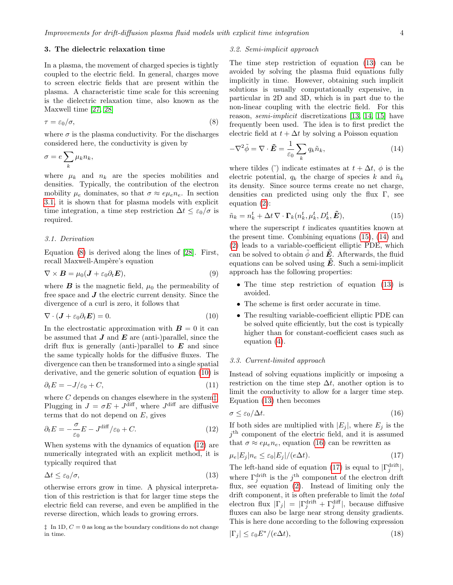#### <span id="page-3-0"></span>3. The dielectric relaxation time

In a plasma, the movement of charged species is tightly coupled to the electric field. In general, charges move to screen electric fields that are present within the plasma. A characteristic time scale for this screening is the dielectric relaxation time, also known as the Maxwell time [\[27,](#page-10-20) [28\]](#page-10-21)

<span id="page-3-3"></span>
$$
\tau = \varepsilon_0/\sigma,\tag{8}
$$

where  $\sigma$  is the plasma conductivity. For the discharges considered here, the conductivity is given by

$$
\sigma = e \sum_{k} \mu_k n_k,
$$

where  $\mu_k$  and  $n_k$  are the species mobilities and densities. Typically, the contribution of the electron mobility  $\mu_e$  dominates, so that  $\sigma \approx e \mu_e n_e$ . In section [3.1,](#page-3-2) it is shown that for plasma models with explicit time integration, a time step restriction  $\Delta t \leq \varepsilon_0/\sigma$  is required.

# <span id="page-3-2"></span>3.1. Derivation

Equation [\(8\)](#page-3-3) is derived along the lines of [\[28\]](#page-10-21). First, recall Maxwell-Ampère's equation

$$
\nabla \times \boldsymbol{B} = \mu_0 (\boldsymbol{J} + \varepsilon_0 \partial_t \boldsymbol{E}), \tag{9}
$$

where  $\bm{B}$  is the magnetic field,  $\mu_0$  the permeability of free space and  $\boldsymbol{J}$  the electric current density. Since the divergence of a curl is zero, it follows that

<span id="page-3-4"></span>
$$
\nabla \cdot (\mathbf{J} + \varepsilon_0 \partial_t \mathbf{E}) = 0. \tag{10}
$$

In the electrostatic approximation with  $\mathbf{B} = 0$  it can be assumed that  $J$  and  $E$  are (anti-)parallel, since the drift flux is generally (anti-)parallel to  $\boldsymbol{E}$  and since the same typically holds for the diffusive fluxes. The divergence can then be transformed into a single spatial derivative, and the generic solution of equation [\(10\)](#page-3-4) is

$$
\partial_t E = -J/\varepsilon_0 + C,\tag{11}
$$

where  $C$  depends on changes elsewhere in the system[‡](#page-3-5). Plugging in  $J = \sigma E + J^{\text{diff}}$ , where  $J^{\text{diff}}$  are diffusive terms that do not depend on  $E$ , gives

<span id="page-3-6"></span>
$$
\partial_t E = -\frac{\sigma}{\varepsilon_0} E - J^{\text{diff}}/\varepsilon_0 + C. \tag{12}
$$

When systems with the dynamics of equation [\(12\)](#page-3-6) are numerically integrated with an explicit method, it is typically required that

<span id="page-3-1"></span>
$$
\Delta t \le \varepsilon_0/\sigma,\tag{13}
$$

otherwise errors grow in time. A physical interpretation of this restriction is that for larger time steps the electric field can reverse, and even be amplified in the reverse direction, which leads to growing errors.

<span id="page-3-5"></span> $\ddagger$  In 1D,  $C = 0$  as long as the boundary conditions do not change in time.

#### 3.2. Semi-implicit approach

The time step restriction of equation [\(13\)](#page-3-1) can be avoided by solving the plasma fluid equations fully implicitly in time. However, obtaining such implicit solutions is usually computationally expensive, in particular in 2D and 3D, which is in part due to the non-linear coupling with the electric field. For this reason, semi-implicit discretizations [\[13,](#page-10-6) [14,](#page-10-7) [15\]](#page-10-8) have frequently been used. The idea is to first predict the electric field at  $t + \Delta t$  by solving a Poisson equation

<span id="page-3-8"></span>
$$
-\nabla^2 \tilde{\phi} = \nabla \cdot \tilde{E} = \frac{1}{\varepsilon_0} \sum_k q_k \tilde{n}_k, \qquad (14)
$$

where tildes ( $\tilde{\ }$ ) indicate estimates at  $t + \Delta t$ ,  $\phi$  is the electric potential,  $q_k$  the charge of species k and  $\tilde{n}_k$ its density. Since source terms create no net charge, densities can predicted using only the flux Γ, see equation [\(2\)](#page-1-3):

<span id="page-3-7"></span>
$$
\tilde{n}_k = n_k^t + \Delta t \, \nabla \cdot \mathbf{\Gamma}_k(n_k^t, \mu_k^t, D_k^t, \tilde{E}),\tag{15}
$$

where the superscript  $t$  indicates quantities known at the present time. Combining equations [\(15\)](#page-3-7), [\(14\)](#page-3-8) and [\(2\)](#page-1-3) leads to a variable-coefficient elliptic PDE, which can be solved to obtain  $\phi$  and **E**. Afterwards, the fluid equations can be solved using  $\tilde{E}$ . Such a semi-implicit approach has the following properties:

- The time step restriction of equation [\(13\)](#page-3-1) is avoided.
- The scheme is first order accurate in time.
- The resulting variable-coefficient elliptic PDE can be solved quite efficiently, but the cost is typically higher than for constant-coefficient cases such as equation [\(4\)](#page-2-1).

#### 3.3. Current-limited approach

Instead of solving equations implicitly or imposing a restriction on the time step  $\Delta t$ , another option is to limit the conductivity to allow for a larger time step. Equation [\(13\)](#page-3-1) then becomes

<span id="page-3-9"></span>
$$
\sigma \le \varepsilon_0/\Delta t. \tag{16}
$$

If both sides are multiplied with  $|E_j|$ , where  $E_j$  is the  $j<sup>th</sup>$  component of the electric field, and it is assumed that  $\sigma \approx e\mu_e n_e$ , equation [\(16\)](#page-3-9) can be rewritten as

<span id="page-3-10"></span>
$$
\mu_e |E_j| n_e \le \varepsilon_0 |E_j| / (e \Delta t). \tag{17}
$$

The left-hand side of equation [\(17\)](#page-3-10) is equal to  $|\Gamma_j^{\text{drift}}|$ , where  $\Gamma_j^{\text{drift}}$  is the  $j^{\text{th}}$  component of the electron drift flux, see equation [\(2\)](#page-1-3). Instead of limiting only the drift component, it is often preferable to limit the *total* electron flux  $|\Gamma_j| = |\Gamma_j^{\text{drift}} + \Gamma_j^{\text{diff}}|$ , because diffusive fluxes can also be large near strong density gradients. This is here done according to the following expression

<span id="page-3-11"></span>
$$
|\Gamma_j| \le \varepsilon_0 E^* / (e \Delta t), \tag{18}
$$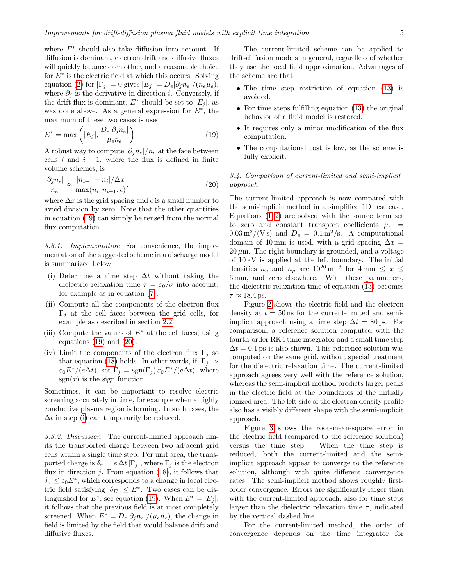where  $E^*$  should also take diffusion into account. If diffusion is dominant, electron drift and diffusive fluxes will quickly balance each other, and a reasonable choice for  $E^*$  is the electric field at which this occurs. Solving equation [\(2\)](#page-1-3) for  $|\Gamma_j| = 0$  gives  $|E_j| = D_e |\partial_j n_e|/(n_e \mu_e),$ where  $\partial_j$  is the derivative in direction *i*. Conversely, if the drift flux is dominant,  $E^*$  should be set to  $|E_j|$ , as was done above. As a general expression for  $E^*$ , the maximum of these two cases is used

<span id="page-4-0"></span>
$$
E^* = \max\left(|E_j|, \frac{D_e|\partial_j n_e|}{\mu_e n_e}\right). \tag{19}
$$

A robust way to compute  $|\partial_j n_e|/n_e$  at the face between cells i and  $i + 1$ , where the flux is defined in finite volume schemes, is

<span id="page-4-1"></span>
$$
\frac{|\partial_j n_e|}{n_e} \approx \frac{|n_{i+1} - n_i|/\Delta x}{\max(n_i, n_{i+1}, \epsilon)},
$$
\n(20)

where  $\Delta x$  is the grid spacing and  $\epsilon$  is a small number to avoid division by zero. Note that the other quantities in equation [\(19\)](#page-4-0) can simply be reused from the normal flux computation.

3.3.1. Implementation For convenience, the implementation of the suggested scheme in a discharge model is summarized below:

- <span id="page-4-2"></span>(i) Determine a time step  $\Delta t$  without taking the dielectric relaxation time  $\tau = \varepsilon_0/\sigma$  into account, for example as in equation [\(7\)](#page-2-2).
- (ii) Compute all the components of the electron flux  $\Gamma_i$  at the cell faces between the grid cells, for example as described in section [2.2.](#page-2-0)
- (iii) Compute the values of  $E^*$  at the cell faces, using equations  $(19)$  and  $(20)$ .
- (iv) Limit the components of the electron flux  $\Gamma_i$  so that equation [\(18\)](#page-3-11) holds. In other words, if  $|\Gamma_j|$  >  $\varepsilon_0 E^* / (e \Delta t)$ , set  $\Gamma_j = \text{sgn}(\Gamma_j) \, \varepsilon_0 E^* / (e \Delta t)$ , where  $sgn(x)$  is the sign function.

Sometimes, it can be important to resolve electric screening accurately in time, for example when a highly conductive plasma region is forming. In such cases, the  $\Delta t$  in step [\(i\)](#page-4-2) can temporarily be reduced.

3.3.2. Discussion The current-limited approach limits the transported charge between two adjacent grid cells within a single time step. Per unit area, the transported charge is  $\delta_{\sigma} = e \Delta t |\Gamma_i|$ , where  $\Gamma_i$  is the electron flux in direction  $j$ . From equation [\(18\)](#page-3-11), it follows that  $\delta_{\sigma} \leq \varepsilon_0 E^*$ , which corresponds to a change in local electric field satisfying  $|\delta_E| \leq E^*$ . Two cases can be distinguished for  $E^*$ , see equation [\(19\)](#page-4-0). When  $E^* = |E_j|$ , it follows that the previous field is at most completely screened. When  $E^* = D_e |\partial_i n_e|/(\mu_e n_e)$ , the change in field is limited by the field that would balance drift and diffusive fluxes.

The current-limited scheme can be applied to drift-diffusion models in general, regardless of whether they use the local field approximation. Advantages of the scheme are that:

- The time step restriction of equation [\(13\)](#page-3-1) is avoided.
- For time steps fulfilling equation [\(13\)](#page-3-1) the original behavior of a fluid model is restored.
- It requires only a minor modification of the flux computation.
- The computational cost is low, as the scheme is fully explicit.

# <span id="page-4-3"></span>3.4. Comparison of current-limited and semi-implicit approach

The current-limited approach is now compared with the semi-implicit method in a simplified 1D test case. Equations  $(1-2)$  are solved with the source term set to zero and constant transport coefficients  $\mu_e$  =  $0.03 \,\mathrm{m}^2/(\mathrm{V\,s})$  and  $D_e = 0.1 \,\mathrm{m}^2/\mathrm{s}$ . A computational domain of 10 mm is used, with a grid spacing  $\Delta x =$  $20 \mu m$ . The right boundary is grounded, and a voltage of 10 kV is applied at the left boundary. The initial densities  $n_e$  and  $n_p$  are  $10^{20} \,\mathrm{m}^{-3}$  for  $4 \,\mathrm{mm} \leq x \leq$ 6 mm, and zero elsewhere. With these parameters, the dielectric relaxation time of equation [\(13\)](#page-3-1) becomes  $\tau \approx 18.4$  ps.

Figure [2](#page-5-0) shows the electric field and the electron density at  $t = 50$  ns for the current-limited and semiimplicit approach using a time step  $\Delta t = 80$  ps. For comparison, a reference solution computed with the fourth-order RK4 time integrator and a small time step  $\Delta t = 0.1$  ps is also shown. This reference solution was computed on the same grid, without special treatment for the dielectric relaxation time. The current-limited approach agrees very well with the reference solution, whereas the semi-implicit method predicts larger peaks in the electric field at the boundaries of the initially ionized area. The left side of the electron density profile also has a visibly different shape with the semi-implicit approach.

Figure [3](#page-5-1) shows the root-mean-square error in the electric field (compared to the reference solution) versus the time step. When the time step is reduced, both the current-limited and the semiimplicit approach appear to converge to the reference solution, although with quite different convergence rates. The semi-implicit method shows roughly firstorder convergence. Errors are significantly larger than with the current-limited approach, also for time steps larger than the dielectric relaxation time  $\tau$ , indicated by the vertical dashed line.

For the current-limited method, the order of convergence depends on the time integrator for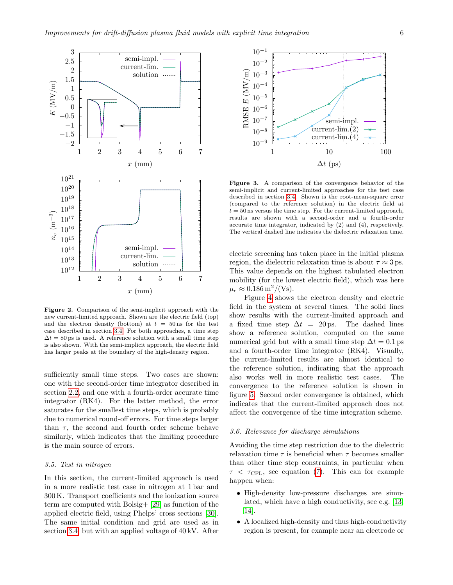

<span id="page-5-0"></span>Figure 2. Comparison of the semi-implicit approach with the new current-limited approach. Shown are the electric field (top) and the electron density (bottom) at  $t = 50$  ns for the test case described in section [3.4.](#page-4-3) For both approaches, a time step  $\Delta t = 80$  ps is used. A reference solution with a small time step is also shown. With the semi-implicit approach, the electric field has larger peaks at the boundary of the high-density region.

sufficiently small time steps. Two cases are shown: one with the second-order time integrator described in section [2.2,](#page-2-0) and one with a fourth-order accurate time integrator (RK4). For the latter method, the error saturates for the smallest time steps, which is probably due to numerical round-off errors. For time steps larger than  $\tau$ , the second and fourth order scheme behave similarly, which indicates that the limiting procedure is the main source of errors.

#### <span id="page-5-2"></span>3.5. Test in nitrogen

In this section, the current-limited approach is used in a more realistic test case in nitrogen at 1 bar and 300 K. Transport coefficients and the ionization source term are computed with Bolsig+ [\[29\]](#page-10-22) as function of the applied electric field, using Phelps' cross sections [\[30\]](#page-10-23). The same initial condition and grid are used as in section [3.4,](#page-4-3) but with an applied voltage of 40 kV. After



<span id="page-5-1"></span>Figure 3. A comparison of the convergence behavior of the semi-implicit and current-limited approaches for the test case described in section [3.4.](#page-4-3) Shown is the root-mean-square error (compared to the reference solution) in the electric field at  $t = 50$  ns versus the time step. For the current-limited approach, results are shown with a second-order and a fourth-order accurate time integrator, indicated by (2) and (4), respectively. The vertical dashed line indicates the dielectric relaxation time.

electric screening has taken place in the initial plasma region, the dielectric relaxation time is about  $\tau \approx 3$  ps. This value depends on the highest tabulated electron mobility (for the lowest electric field), which was here  $\mu_e \approx 0.186 \,\mathrm{m}^2/(\mathrm{Vs}).$ 

Figure [4](#page-6-1) shows the electron density and electric field in the system at several times. The solid lines show results with the current-limited approach and a fixed time step  $\Delta t = 20$  ps. The dashed lines show a reference solution, computed on the same numerical grid but with a small time step  $\Delta t = 0.1$  ps and a fourth-order time integrator (RK4). Visually, the current-limited results are almost identical to the reference solution, indicating that the approach also works well in more realistic test cases. The convergence to the reference solution is shown in figure [5.](#page-6-2) Second order convergence is obtained, which indicates that the current-limited approach does not affect the convergence of the time integration scheme.

#### 3.6. Relevance for discharge simulations

Avoiding the time step restriction due to the dielectric relaxation time  $\tau$  is beneficial when  $\tau$  becomes smaller than other time step constraints, in particular when  $\tau < \tau_{\text{CFL}}$ , see equation [\(7\)](#page-2-2). This can for example happen when:

- High-density low-pressure discharges are simulated, which have a high conductivity, see e.g. [\[13,](#page-10-6) [14\]](#page-10-7).
- A localized high-density and thus high-conductivity region is present, for example near an electrode or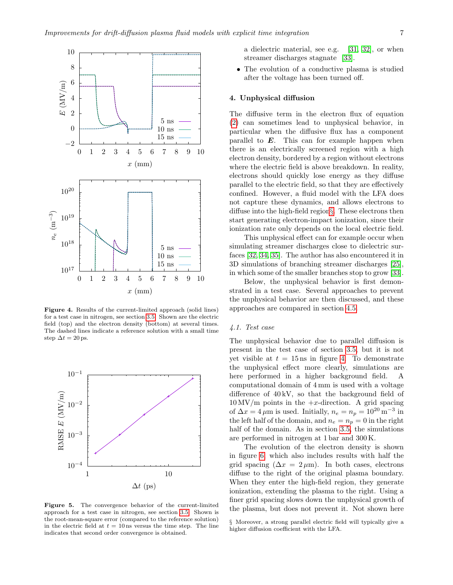

<span id="page-6-1"></span>Figure 4. Results of the current-limited approach (solid lines) for a test case in nitrogen, see section [3.5.](#page-5-2) Shown are the electric field (top) and the electron density (bottom) at several times. The dashed lines indicate a reference solution with a small time step  $\Delta t = 20$  ps.



<span id="page-6-2"></span>Figure 5. The convergence behavior of the current-limited approach for a test case in nitrogen, see section [3.5.](#page-5-2) Shown is the root-mean-square error (compared to the reference solution) in the electric field at  $t = 10$  ns versus the time step. The line indicates that second order convergence is obtained.

a dielectric material, see e.g. [\[31,](#page-10-24) [32\]](#page-10-25), or when streamer discharges stagnate [\[33\]](#page-10-26).

• The evolution of a conductive plasma is studied after the voltage has been turned off.

#### <span id="page-6-0"></span>4. Unphysical diffusion

The diffusive term in the electron flux of equation [\(2\)](#page-1-3) can sometimes lead to unphysical behavior, in particular when the diffusive flux has a component parallel to  $E$ . This can for example happen when there is an electrically screened region with a high electron density, bordered by a region without electrons where the electric field is above breakdown. In reality, electrons should quickly lose energy as they diffuse parallel to the electric field, so that they are effectively confined. However, a fluid model with the LFA does not capture these dynamics, and allows electrons to diffuse into the high-field region[§](#page-6-3). These electrons then start generating electron-impact ionization, since their ionization rate only depends on the local electric field.

This unphysical effect can for example occur when simulating streamer discharges close to dielectric surfaces [\[32,](#page-10-25) [34,](#page-10-27) [35\]](#page-10-28). The author has also encountered it in 3D simulations of branching streamer discharges [\[25\]](#page-10-18), in which some of the smaller branches stop to grow [\[33\]](#page-10-26).

Below, the unphysical behavior is first demonstrated in a test case. Several approaches to prevent the unphysical behavior are then discussed, and these approaches are compared in section [4.5.](#page-8-0)

#### <span id="page-6-4"></span>4.1. Test case

The unphysical behavior due to parallel diffusion is present in the test case of section [3.5,](#page-5-2) but it is not yet visible at  $t = 15$  ns in figure [4.](#page-6-1) To demonstrate the unphysical effect more clearly, simulations are here performed in a higher background field. A computational domain of 4 mm is used with a voltage difference of  $40 \text{ kV}$ , so that the background field of  $10 \,\mathrm{MV/m}$  points in the  $+x$ -direction. A grid spacing of  $\Delta x = 4 \,\mu \text{m}$  is used. Initially,  $n_e = n_p = 10^{20} \text{ m}^{-3}$  in the left half of the domain, and  $n_e = n_p = 0$  in the right half of the domain. As in section [3.5,](#page-5-2) the simulations are performed in nitrogen at 1 bar and 300 K.

The evolution of the electron density is shown in figure [6,](#page-7-0) which also includes results with half the grid spacing ( $\Delta x = 2 \mu m$ ). In both cases, electrons diffuse to the right of the original plasma boundary. When they enter the high-field region, they generate ionization, extending the plasma to the right. Using a finer grid spacing slows down the unphysical growth of the plasma, but does not prevent it. Not shown here

<span id="page-6-3"></span>§ Moreover, a strong parallel electric field will typically give a higher diffusion coefficient with the LFA.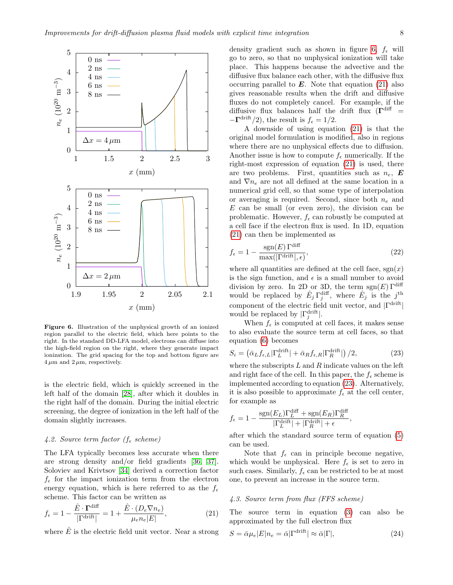

<span id="page-7-0"></span>Figure 6. Illustration of the unphysical growth of an ionized region parallel to the electric field, which here points to the right. In the standard DD-LFA model, electrons can diffuse into the high-field region on the right, where they generate impact ionization. The grid spacing for the top and bottom figure are  $4 \mu m$  and  $2 \mu m$ , respectively.

is the electric field, which is quickly screened in the left half of the domain [\[28\]](#page-10-21), after which it doubles in the right half of the domain. During the initial electric screening, the degree of ionization in the left half of the domain slightly increases.

# 4.2. Source term factor ( $f_{\epsilon}$  scheme)

The LFA typically becomes less accurate when there are strong density and/or field gradients [\[36,](#page-10-29) [37\]](#page-10-30). Soloviev and Krivtsov [\[34\]](#page-10-27) derived a correction factor  $f_{\epsilon}$  for the impact ionization term from the electron energy equation, which is here referred to as the  $f_{\epsilon}$ scheme. This factor can be written as

<span id="page-7-1"></span>
$$
f_{\epsilon} = 1 - \frac{\hat{E} \cdot \mathbf{\Gamma}^{\text{diff}}}{|\Gamma^{\text{drift}}|} = 1 + \frac{\hat{E} \cdot (D_e \nabla n_e)}{\mu_e n_e |E|},
$$
(21)

where  $\hat{E}$  is the electric field unit vector. Near a strong

density gradient such as shown in figure [6,](#page-7-0)  $f_{\epsilon}$  will go to zero, so that no unphysical ionization will take place. This happens because the advective and the diffusive flux balance each other, with the diffusive flux occurring parallel to  $E$ . Note that equation [\(21\)](#page-7-1) also gives reasonable results when the drift and diffusive fluxes do not completely cancel. For example, if the diffusive flux balances half the drift flux  $(\Gamma^{\text{diff}}$  =  $-\Gamma^{\text{drift}}/2$ , the result is  $f_{\epsilon} = 1/2$ .

A downside of using equation [\(21\)](#page-7-1) is that the original model formulation is modified, also in regions where there are no unphysical effects due to diffusion. Another issue is how to compute  $f_{\epsilon}$  numerically. If the right-most expression of equation [\(21\)](#page-7-1) is used, there are two problems. First, quantities such as  $n_e$ , E and  $\nabla n_e$  are not all defined at the same location in a numerical grid cell, so that some type of interpolation or averaging is required. Second, since both  $n_e$  and E can be small (or even zero), the division can be problematic. However,  $f_{\epsilon}$  can robustly be computed at a cell face if the electron flux is used. In 1D, equation [\(21\)](#page-7-1) can then be implemented as

$$
f_{\epsilon} = 1 - \frac{\text{sgn}(E)\,\Gamma^{\text{diff}}}{\text{max}(|\Gamma^{\text{drift}}|, \epsilon)},\tag{22}
$$

where all quantities are defined at the cell face,  $sgn(x)$ is the sign function, and  $\epsilon$  is a small number to avoid division by zero. In 2D or 3D, the term  $sgn(E) \Gamma^{\text{diff}}$ would be replaced by  $\hat{E}_j \Gamma^{\text{diff}}_j$ , where  $\hat{E}_j$  is the  $j^{\text{th}}$ component of the electric field unit vector, and  $|\Gamma^{\text{drift}}|$ would be replaced by  $|\Gamma_j^{\text{drift}}|$ .

When  $f_{\epsilon}$  is computed at cell faces, it makes sense to also evaluate the source term at cell faces, so that equation [\(6\)](#page-2-3) becomes

<span id="page-7-2"></span>
$$
S_i = \left(\bar{\alpha}_L f_{\epsilon,L} |\Gamma_L^{\text{drift}}| + \bar{\alpha}_R f_{\epsilon,R} |\Gamma_R^{\text{drift}}|\right)/2,\tag{23}
$$

where the subscripts  $L$  and  $R$  indicate values on the left and right face of the cell. In this paper, the  $f_{\epsilon}$  scheme is implemented according to equation [\(23\)](#page-7-2). Alternatively, it is also possible to approximate  $f_{\epsilon}$  at the cell center, for example as

$$
f_{\epsilon} = 1 - \frac{\text{sgn}(E_L)\Gamma_L^{\text{diff}} + \text{sgn}(E_R)\Gamma_R^{\text{diff}}}{|\Gamma_L^{\text{drift}}| + |\Gamma_R^{\text{drift}}| + \epsilon}
$$

after which the standard source term of equation [\(5\)](#page-2-4) can be used.

,

Note that  $f_{\epsilon}$  can in principle become negative, which would be unphysical. Here  $f_{\epsilon}$  is set to zero in such cases. Similarly,  $f_{\epsilon}$  can be restricted to be at most one, to prevent an increase in the source term.

# 4.3. Source term from flux (FFS scheme)

The source term in equation [\(3\)](#page-1-1) can also be approximated by the full electron flux

<span id="page-7-3"></span>
$$
S = \bar{\alpha}\mu_e |E|n_e = \bar{\alpha} |\Gamma^{\text{drift}}| \approx \bar{\alpha} |\Gamma|,\tag{24}
$$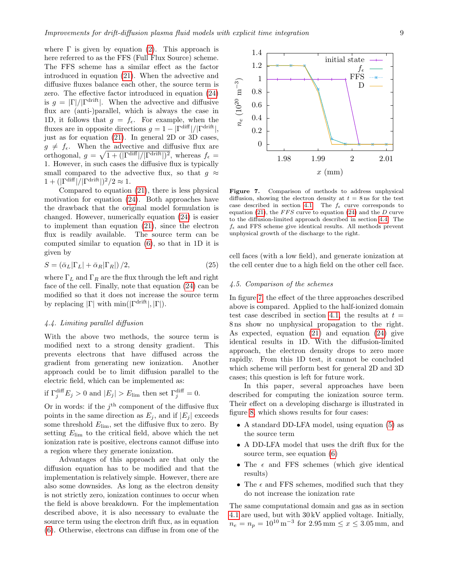where  $\Gamma$  is given by equation [\(2\)](#page-1-3). This approach is here referred to as the FFS (Full Flux Source) scheme. The FFS scheme has a similar effect as the factor introduced in equation [\(21\)](#page-7-1). When the advective and diffusive fluxes balance each other, the source term is zero. The effective factor introduced in equation [\(24\)](#page-7-3) is  $g = |\Gamma|/|\Gamma^{\text{drift}}|$ . When the advective and diffusive flux are (anti-)parallel, which is always the case in 1D, it follows that  $g = f_{\epsilon}$ . For example, when the fluxes are in opposite directions  $g = 1 - |\Gamma^{\text{diff}}|/|\Gamma^{\text{drift}}|$ , just as for equation [\(21\)](#page-7-1). In general 2D or 3D cases,  $g \neq f_{\epsilon}$ . When the advective and diffusive flux are orthogonal,  $g = \sqrt{1 + (|\Gamma^{\text{diff}}|/|\Gamma^{\text{drift}}|)^2}$ , whereas  $f_{\epsilon}$  = 1. However, in such cases the diffusive flux is typically small compared to the advective flux, so that  $q \approx$  $1 + (|\Gamma^{\text{diff}}|/|\Gamma^{\text{drift}}|)^2/2 \approx 1.$ 

Compared to equation [\(21\)](#page-7-1), there is less physical motivation for equation [\(24\)](#page-7-3). Both approaches have the drawback that the original model formulation is changed. However, numerically equation [\(24\)](#page-7-3) is easier to implement than equation [\(21\)](#page-7-1), since the electron flux is readily available. The source term can be computed similar to equation [\(6\)](#page-2-3), so that in 1D it is given by

$$
S = \left(\bar{\alpha}_L|\Gamma_L| + \bar{\alpha}_R|\Gamma_R|\right)/2,\tag{25}
$$

where  $\Gamma_L$  and  $\Gamma_R$  are the flux through the left and right face of the cell. Finally, note that equation [\(24\)](#page-7-3) can be modified so that it does not increase the source term by replacing  $|\Gamma|$  with  $\min(|\Gamma^{\text{drift}}|, |\Gamma|)$ .

#### <span id="page-8-1"></span>4.4. Limiting parallel diffusion

With the above two methods, the source term is modified next to a strong density gradient. This prevents electrons that have diffused across the gradient from generating new ionization. Another approach could be to limit diffusion parallel to the electric field, which can be implemented as:

if  $\Gamma_j^{\text{diff}} E_j > 0$  and  $|E_j| > E_{\text{lim}}$  then set  $\Gamma_j^{\text{diff}} = 0$ .

Or in words: if the  $j<sup>th</sup>$  component of the diffusive flux points in the same direction as  $E_i$ , and if  $|E_i|$  exceeds some threshold  $E_{\text{lim}}$ , set the diffusive flux to zero. By setting  $E_{\text{lim}}$  to the critical field, above which the net ionization rate is positive, electrons cannot diffuse into a region where they generate ionization.

Advantages of this approach are that only the diffusion equation has to be modified and that the implementation is relatively simple. However, there are also some downsides. As long as the electron density is not strictly zero, ionization continues to occur when the field is above breakdown. For the implementation described above, it is also necessary to evaluate the source term using the electron drift flux, as in equation [\(6\)](#page-2-3). Otherwise, electrons can diffuse in from one of the



<span id="page-8-2"></span>Figure 7. Comparison of methods to address unphysical diffusion, showing the electron density at  $t = 8$  ns for the test case described in section [4.1.](#page-6-4) The  $f_{\epsilon}$  curve corresponds to equation [\(21\)](#page-7-1), the  $FFS$  curve to equation [\(24\)](#page-7-3) and the D curve to the diffusion-limited approach described in section [4.4.](#page-8-1) The  $f_{\epsilon}$  and FFS scheme give identical results. All methods prevent unphysical growth of the discharge to the right.

cell faces (with a low field), and generate ionization at the cell center due to a high field on the other cell face.

# <span id="page-8-0"></span>4.5. Comparison of the schemes

In figure [7,](#page-8-2) the effect of the three approaches described above is compared. Applied to the half-ionized domain test case described in section [4.1,](#page-6-4) the results at  $t =$ 8 ns show no unphysical propagation to the right. As expected, equation [\(21\)](#page-7-1) and equation [\(24\)](#page-7-3) give identical results in 1D. With the diffusion-limited approach, the electron density drops to zero more rapidly. From this 1D test, it cannot be concluded which scheme will perform best for general 2D and 3D cases; this question is left for future work.

In this paper, several approaches have been described for computing the ionization source term. Their effect on a developing discharge is illustrated in figure [8,](#page-9-6) which shows results for four cases:

- A standard DD-LFA model, using equation [\(5\)](#page-2-4) as the source term
- A DD-LFA model that uses the drift flux for the source term, see equation [\(6\)](#page-2-3)
- The  $\epsilon$  and FFS schemes (which give identical results)
- The  $\epsilon$  and FFS schemes, modified such that they do not increase the ionization rate

The same computational domain and gas as in section [4.1](#page-6-4) are used, but with 30 kV applied voltage. Initially,  $n_e = n_p = 10^{10} \,\mathrm{m}^{-3}$  for  $2.95 \,\mathrm{mm} \le x \le 3.05 \,\mathrm{mm}$ , and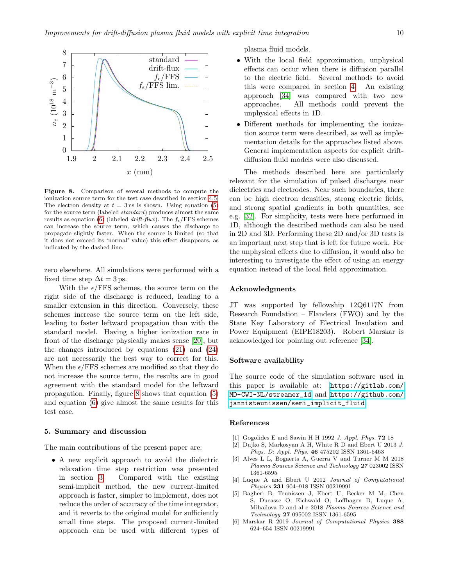

<span id="page-9-6"></span>Figure 8. Comparison of several methods to compute the ionization source term for the test case described in section [4.5.](#page-8-0) The electron density at  $t = 3$  ns is shown. Using equation [\(5\)](#page-2-4) for the source term (labeled standard) produces almost the same results as equation [\(6\)](#page-2-3) (labeled drift-flux). The  $f_{\epsilon}/\text{FFS}$  schemes can increase the source term, which causes the discharge to propagate slightly faster. When the source is limited (so that it does not exceed its 'normal' value) this effect disappears, as indicated by the dashed line.

zero elsewhere. All simulations were performed with a fixed time step  $\Delta t = 3$  ps.

With the  $\epsilon$ /FFS schemes, the source term on the right side of the discharge is reduced, leading to a smaller extension in this direction. Conversely, these schemes increase the source term on the left side, leading to faster leftward propagation than with the standard model. Having a higher ionization rate in front of the discharge physically makes sense [\[20\]](#page-10-13), but the changes introduced by equations [\(21\)](#page-7-1) and [\(24\)](#page-7-3) are not necessarily the best way to correct for this. When the  $\epsilon$ /FFS schemes are modified so that they do not increase the source term, the results are in good agreement with the standard model for the leftward propagation. Finally, figure [8](#page-9-6) shows that equation [\(5\)](#page-2-4) and equation [\(6\)](#page-2-3) give almost the same results for this test case.

#### 5. Summary and discussion

The main contributions of the present paper are:

• A new explicit approach to avoid the dielectric relaxation time step restriction was presented in section [3.](#page-3-0) Compared with the existing semi-implicit method, the new current-limited approach is faster, simpler to implement, does not reduce the order of accuracy of the time integrator, and it reverts to the original model for sufficiently small time steps. The proposed current-limited approach can be used with different types of plasma fluid models.

- With the local field approximation, unphysical effects can occur when there is diffusion parallel to the electric field. Several methods to avoid this were compared in section [4.](#page-6-0) An existing approach [\[34\]](#page-10-27) was compared with two new approaches. All methods could prevent the unphysical effects in 1D.
- Different methods for implementing the ionization source term were described, as well as implementation details for the approaches listed above. General implementation aspects for explicit driftdiffusion fluid models were also discussed.

The methods described here are particularly relevant for the simulation of pulsed discharges near dielectrics and electrodes. Near such boundaries, there can be high electron densities, strong electric fields, and strong spatial gradients in both quantities, see e.g. [\[32\]](#page-10-25). For simplicity, tests were here performed in 1D, although the described methods can also be used in 2D and 3D. Performing these 2D and/or 3D tests is an important next step that is left for future work. For the unphysical effects due to diffusion, it would also be interesting to investigate the effect of using an energy equation instead of the local field approximation.

#### Acknowledgments

JT was supported by fellowship 12Q6117N from Research Foundation – Flanders (FWO) and by the State Key Laboratory of Electrical Insulation and Power Equipment (EIPE18203). Robert Marskar is acknowledged for pointing out reference [\[34\]](#page-10-27).

#### Software availability

The source code of the simulation software used in this paper is available at: [https://gitlab.com/](https://gitlab.com/MD-CWI-NL/streamer_1d) [MD-CWI-NL/streamer\\_1d](https://gitlab.com/MD-CWI-NL/streamer_1d) and [https://github.com/](https://github.com/jannisteunissen/semi_implicit_fluid) [jannisteunissen/semi\\_implicit\\_fluid](https://github.com/jannisteunissen/semi_implicit_fluid).

#### References

- <span id="page-9-0"></span>Gogolides E and Sawin H H 1992 J. Appl. Phys. 72 18
- <span id="page-9-1"></span>[2] Dujko S, Markosyan A H, White R D and Ebert U 2013 J. Phys. D: Appl. Phys. 46 475202 ISSN 1361-6463
- <span id="page-9-2"></span>[3] Alves L L, Bogaerts A, Guerra V and Turner M M 2018 Plasma Sources Science and Technology 27 023002 ISSN 1361-6595
- <span id="page-9-3"></span>[4] Luque A and Ebert U 2012 Journal of Computational Physics 231 904–918 ISSN 00219991
- <span id="page-9-4"></span>[5] Bagheri B, Teunissen J, Ebert U, Becker M M, Chen S, Ducasse O, Eichwald O, Loffhagen D, Luque A, Mihailova D and al e 2018 Plasma Sources Science and Technology 27 095002 ISSN 1361-6595
- <span id="page-9-5"></span>[6] Marskar R 2019 Journal of Computational Physics 388 624–654 ISSN 00219991